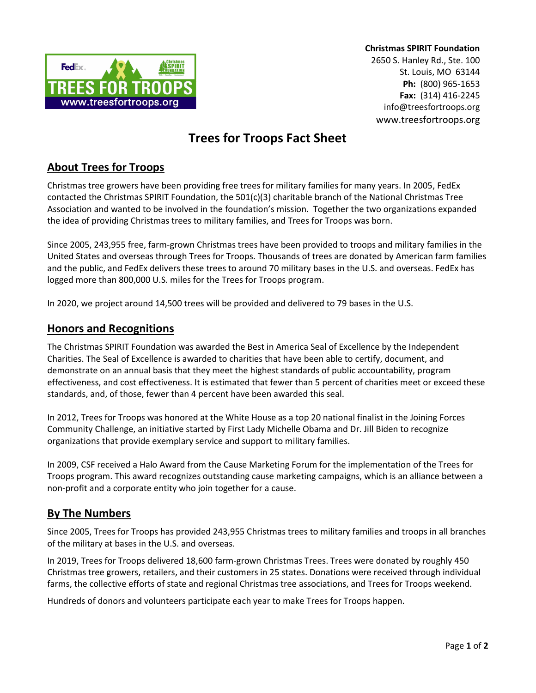

Christmas SPIRIT Foundation

2650 S. Hanley Rd., Ste. 100 St. Louis, MO 63144 Ph: (800) 965-1653 Fax: (314) 416-2245 info@treesfortroops.org www.treesfortroops.org

# Trees for Troops Fact Sheet

# About Trees for Troops

Christmas tree growers have been providing free trees for military families for many years. In 2005, FedEx contacted the Christmas SPIRIT Foundation, the 501(c)(3) charitable branch of the National Christmas Tree Association and wanted to be involved in the foundation's mission. Together the two organizations expanded the idea of providing Christmas trees to military families, and Trees for Troops was born.

Since 2005, 243,955 free, farm-grown Christmas trees have been provided to troops and military families in the United States and overseas through Trees for Troops. Thousands of trees are donated by American farm families and the public, and FedEx delivers these trees to around 70 military bases in the U.S. and overseas. FedEx has logged more than 800,000 U.S. miles for the Trees for Troops program.

In 2020, we project around 14,500 trees will be provided and delivered to 79 bases in the U.S.

## Honors and Recognitions

The Christmas SPIRIT Foundation was awarded the Best in America Seal of Excellence by the Independent Charities. The Seal of Excellence is awarded to charities that have been able to certify, document, and demonstrate on an annual basis that they meet the highest standards of public accountability, program effectiveness, and cost effectiveness. It is estimated that fewer than 5 percent of charities meet or exceed these standards, and, of those, fewer than 4 percent have been awarded this seal.

In 2012, Trees for Troops was honored at the White House as a top 20 national finalist in the Joining Forces Community Challenge, an initiative started by First Lady Michelle Obama and Dr. Jill Biden to recognize organizations that provide exemplary service and support to military families.

In 2009, CSF received a Halo Award from the Cause Marketing Forum for the implementation of the Trees for Troops program. This award recognizes outstanding cause marketing campaigns, which is an alliance between a non-profit and a corporate entity who join together for a cause.

#### By The Numbers

Since 2005, Trees for Troops has provided 243,955 Christmas trees to military families and troops in all branches of the military at bases in the U.S. and overseas.

In 2019, Trees for Troops delivered 18,600 farm-grown Christmas Trees. Trees were donated by roughly 450 Christmas tree growers, retailers, and their customers in 25 states. Donations were received through individual farms, the collective efforts of state and regional Christmas tree associations, and Trees for Troops weekend.

Hundreds of donors and volunteers participate each year to make Trees for Troops happen.